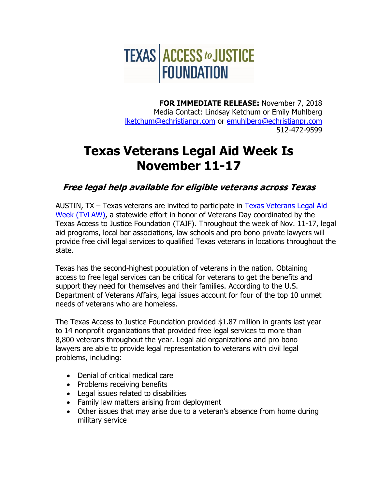

**FOR IMMEDIATE RELEASE:** November 7, 2018 Media Contact: Lindsay Ketchum or Emily Muhlberg [lketchum@echristianpr.com](mailto:lketchum@echristianpr.com) or [emuhlberg@echristianpr.com](mailto:emuhlberg@echristianpr.com) 512-472-9599

## **Texas Veterans Legal Aid Week Is November 11-17**

**Free legal help available for eligible veterans across Texas**

AUSTIN, TX – Texas veterans are invited to participate in [Texas Veterans Legal Aid](http://www.texaslawhelp.org/tvlaw-2017)  [Week \(TVLAW\),](http://www.texaslawhelp.org/tvlaw-2017) a statewide effort in honor of Veterans Day coordinated by the Texas Access to Justice Foundation (TAJF). Throughout the week of Nov. 11-17, legal aid programs, local bar associations, law schools and pro bono private lawyers will provide free civil legal services to qualified Texas veterans in locations throughout the state.

Texas has the second-highest population of veterans in the nation. Obtaining access to free legal services can be critical for veterans to get the benefits and support they need for themselves and their families. According to the U.S. Department of Veterans Affairs, legal issues account for four of the top 10 unmet needs of veterans who are homeless.

The Texas Access to Justice Foundation provided \$1.87 million in grants last year to 14 nonprofit organizations that provided free legal services to more than 8,800 veterans throughout the year. Legal aid organizations and pro bono lawyers are able to provide legal representation to veterans with civil legal problems, including:

- Denial of critical medical care
- Problems receiving benefits
- Legal issues related to disabilities
- Family law matters arising from deployment
- Other issues that may arise due to a veteran's absence from home during military service